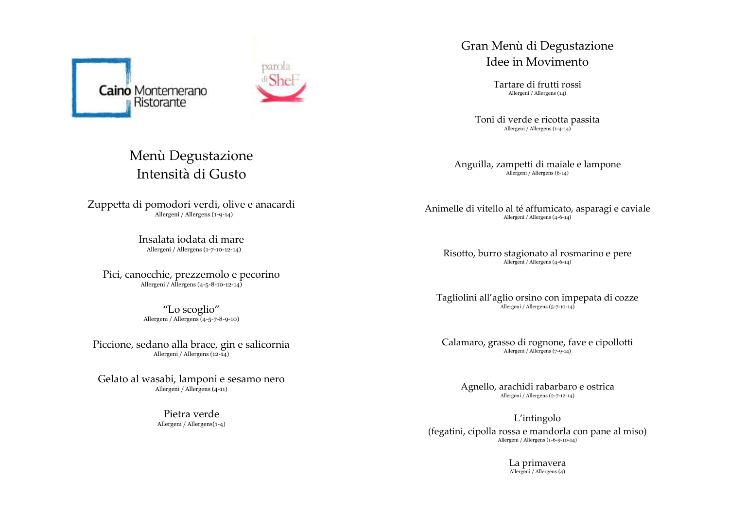



## Menù Degustazione Intensità di Gusto

Zuppetta di pomodori verdi, olive e anacardi Allergeni / Allergens (1-9-14)

> Insalata iodata di mare Allergeni / Allergens (1-7-10-12-14)

Pici, canocchie, prezzemolo e pecorino Allergeni / Allergens (4-5-8-10-12-14)

> "Lo scoglio" Allergeni / Allergens (4-5-7-8-9-10)

Piccione, sedano alla brace, gin e salicornia Allergeni / Allergens (12-14)

Gelato al wasabi, lamponi e sesamo nero Allergeni / Allergens (4-11)

> Pietra verde Allergeni / Allergens(1-4)

### Gran Menù di Degustazione Idee in Movimento

Tartare di frutti rossi Allergeni / Allergens (14)

Toni di verde e ricotta passita Allergeni / Allergens (1-4-14)

Anguilla, zampetti di maiale e lampone Allergeni / Allergens (6-14)

Animelle di vitello al té affumicato, asparagi e caviale Allergeni / Allergens (4-6-14)

Risotto, burro stagionato al rosmarino e pere Allergeni / Allergens (4-6-14)

Tagliolini all'aglio orsino con impepata di cozze Allergeni / Allergens (5-7-10-14)

Calamaro, grasso di rognone, fave e cipollotti Allergeni / Allergens (7-9-14)

Agnello, arachidi rabarbaro e ostrica Allergeni / Allergens (2-7-12-14)

L'intingolo (fegatini, cipolla rossa e mandorla con pane al miso) Allergeni / Allergens (1-6-9-10-14)

> La primavera Allergeni / Allergens (4)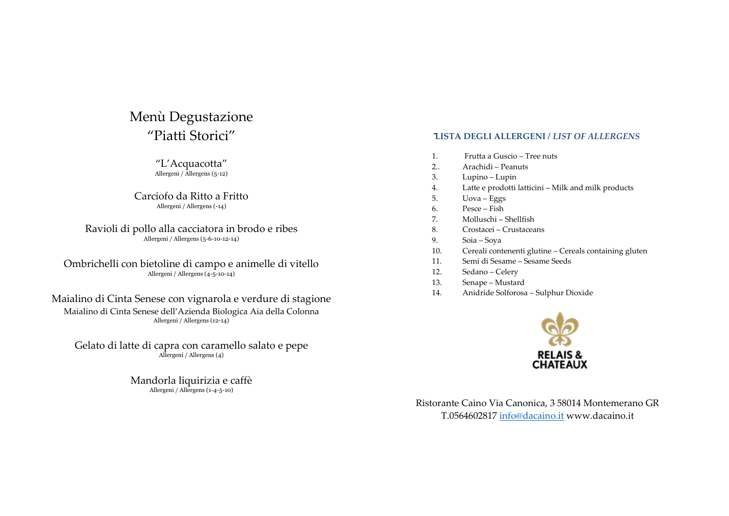## Menù Degustazione "Piatti Storici"

"L'Acquacotta" Allergeni / Allergens (5-12)

Carciofo da Ritto a Fritto Allergeni / Allergens (-14)

Ravioli di pollo alla cacciatora in brodo e ribes Allergeni / Allergens (5-6-10-12-14)

Ombrichelli con bietoline di campo e animelle di vitello Allergeni / Allergens (4-5-10-14)

Maialino di Cinta Senese con vignarola e verdure di stagione Maialino di Cinta Senese dell'Azienda Biologica Aia della Colonna Allergeni / Allergens (12-14)

Gelato di latte di capra con caramello salato e pepe Allergeni / Allergens (4)

> Mandorla liquirizia e caffè Allergeni / Allergens (1-4-5-10)

### **LISTA DEGLI ALLERGENI /** *LIST OF ALLERGENS*

- 1. Frutta a Guscio Tree nuts
- 2.. Arachidi Peanuts
- 3. Lupino Lupin
- 4. Latte e prodotti latticini Milk and milk products
- 5. Uova Eggs
- 6. Pesce Fish
- 7. Molluschi Shellfish
- 8. Crostacei Crustaceans
- 9. Soia Soya
- 10. Cereali contenenti glutine Cereals containing gluten
- 11. Semi di Sesame Sesame Seeds
- 12. Sedano Celery
- 13. Senape Mustard
- 14. Anidride Solforosa Sulphur Dioxide



Ristorante Caino Via Canonica, 3 58014 Montemerano GR T.056460281[7 info@dacaino.it](mailto:info@dacaino.it) www.dacaino.it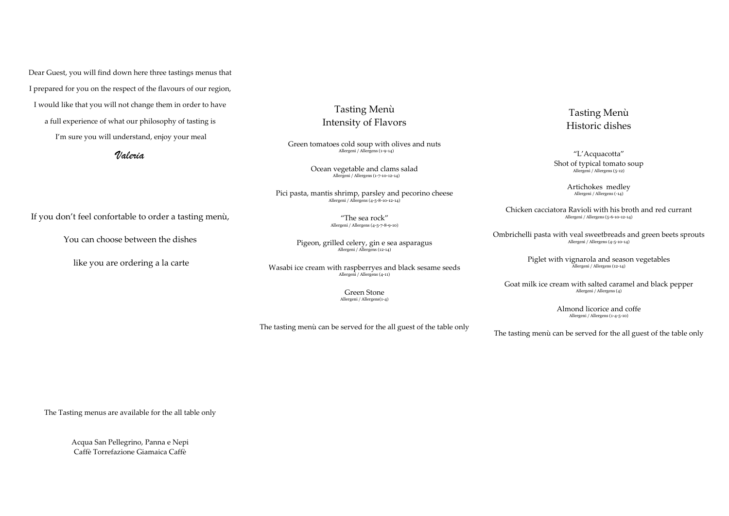Dear Guest, you will find down here three tastings menus that I prepared for you on the respect of the flavours of our region, I would like that you will not change them in order to have a full experience of what our philosophy of tasting is I'm sure you will understand, enjoy your meal

*Valeria*

If you don't feel confortable to order a tasting menù,

You can choose between the dishes

like you are ordering a la carte

The Tasting menus are available for the all table only

Acqua San Pellegrino, Panna e Nepi Caffè Torrefazione Giamaica Caffè

### Tasting Menù Intensity of Flavors

Green tomatoes cold soup with olives and nuts Allergeni / Allergens (1-9-14)

> Ocean vegetable and clams salad Allergeni / Allergens (1-7-10-12-14)

Pici pasta, mantis shrimp, parsley and pecorino cheese Allergeni / Allergens (4-5-8-10-12-14)

"The sea rock" Allergeni / Allergens (4-5-7-8-9-10)

Pigeon, grilled celery, gin e sea asparagus Allergeni / Allergens (12-14)

Wasabi ice cream with raspberryes and black sesame seeds Allergeni / Allergens (4-11)

> Green Stone Allergeni / Allergens(1-4)

The tasting menù can be served for the all guest of the table only

## Tasting Menù Historic dishes

"L'Acquacotta"

Shot of typical tomato soup Allergeni / Allergens (5-12)

> Artichokes medley Allergeni / Allergens (-14)

Chicken cacciatora Ravioli with his broth and red currant Allergeni / Allergens (5-6-10-12-14)

Ombrichelli pasta with veal sweetbreads and green beets sprouts Allergeni / Allergens (4-5-10-14)

Piglet with vignarola and season vegetables Allergeni / Allergens (12-14)

Goat milk ice cream with salted caramel and black pepper Allergeni / Allergens (4)

> Almond licorice and coffe Allergeni / Allergens (1-4-5-10)

The tasting menù can be served for the all guest of the table only